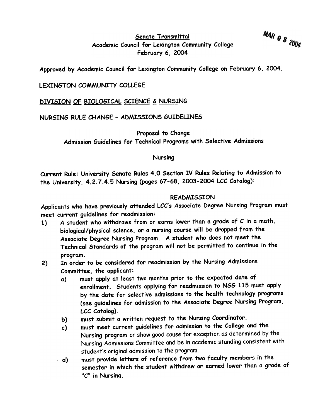MAR 0 3 2004

Senate Transmittal Academic Council for Lexington Community College February 6, 2004

Approved by Academic Council for Lexington Community College on February 6, 2004.

### LEXINGTON COMMUNITY COLLEGE

### DIVISION OF BIOLOGICAL SCIENCE & NURSING

## NURSING RULE CHANGE -ADMISSIONS GUIDELINES

Proposal to Change Admission Guidelines for Technical Programs with Selective Admissions

#### Nursing

Current Rule: University Senate Rules 4.0 Section IV Rules Relating to Admission to the University, 4.2.7.4.5 Nursing (pages 67-68, 2003-2004 LCC Catalog):

#### READMISSION

Applicants who have previously attended LCC's Associate Degree Nursing Program must meet current guidelines for readmission:

- 1) A student who withdraws from or earns lower than a grade of C in a math, biological/physical science, or a nursing course will be dropped from the Associate Degree Nursing Program. A student who does not meet the Technical Standards of the program will not be permitted to continue in the program.
- 2) In order to be considered for readmission by the Nursing Admissions Committee, the applicant:
	- a) must apply at least two months prior to the expected date of enrollment. Students applying for readmission to NSG 115 must apply by the date for selective admissions to the health technology programs (see guidelines for admission to the Associate Degree Nursing Program, LCC Catalog).
	- b) must submit a written request to the Nursing Coordinator.
	- c) must meet current guidelines for admission to the College and the Nursing program or show good cause for exception as determined by the Nursing Admissions Committee and be in academic standing consistent with student's original admission to the program.
	- d) must provide letters of reference from two faculty members in the semester in which the student withdrew or earned lower than a grade of "c" in Nursing.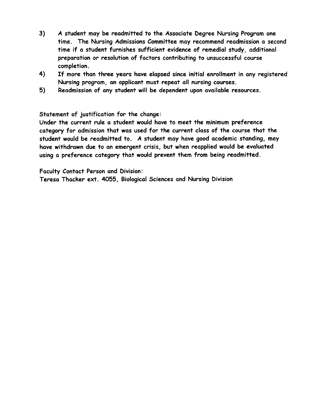- 3) A student may be readmitted to the Associate Degree Nursing Program one time. The Nursing Admissions Committee may recommend readmission a second time if a student furnishes sufficient evidence of remedial study, additional preparation or resolution of factors contributing to unsuccessful course completion.
- 4) If more than three years have elapsed since initial enrollment in any registered Nursing program, an applicant must repeat all nursing courses.
- 5) Readmission of any student will be dependent upon available resources.

Statement of justification for the change:

Under the current rule a student would have to meet the minimum preference category for admission that was used for the current class of the course that the student would be readmitted to. A student may have good academic standing, may have withdrawn due to an emergent crisis, but when reapplied would be evaluated using a preference category that would prevent them from being readmitted.

Faculty Contact Person and Division:

Teresa Thacker ext. 4055, Biological Sciences and Nursing Division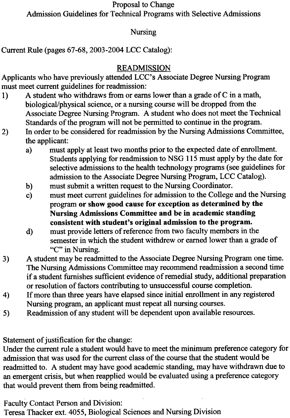Proposal to Change Admission Guidelines for Technical Programs with Selective Admissions

## Nursing

Current Rule (pages 67-68, 2003-2004 LCC Catalog):

# READMISSION

Applicants who have previously attended LCC's Associate Degree Nursing Program must meet current guidelines for readmission:

- 1) A student who withdraws from or earns lower than a grade of C in a math, biological/physical science, or a nursing course will be dropped from the Associate Degree Nursing Program. A student who does not meet the Technical Standards of the program will not be permitted to continue in the program.
- 2) In order to be considered for readmission by the Nursing Admissions Committee, the applicant:
	- a) must apply at least two months prior to the expected date of enrollment. Students applying for readmission to NSG 115 must apply by the date for selective admissions to the health technology programs (see guidelines for admission to the Associate Degree Nursing Program, LCC Catalog).
	- b) must submit a written request to the Nursing Coordinator.
	- c) must meet current guidelines for admission to the College and the Nursing program or show good cause for exception as determined by the Nursing Admissions Committee and be in academic standing consistent with student's original admission to the program.
	- d) must provide letters of reference from two faculty members in the semester in which the student withdrew or earned lower than a grade of "C" in Nursing.
- 3) A student may be readmitted to the Associate Degree Nursing Program one time. The Nursing Admissions Committee may recommend readmission a second time if a student furnishes sufficient evidence of remedial study, additional preparation or resolution of factors contributing to unsuccessful course completion.
- 4) If more than three years have elapsed since initial enrollment in any registered Nursing program, an applicant must repeat all nursing courses.
- 5) Readmission of any student will be dependent upon available resources.

Statement of justification for the change:

Under the current rule a student would have to meet the minimum preference category for admission that was used for the current class of the course that the student would be readmitted to. A student may have good academic standing, may have withdrawn due to an emergent crisis, but when reapplied would be evaluated using a preference category that would prevent them from being readmitted.

Faculty Contact Person and Division:

Teresa Thacker ext. 4055, Biological Sciences and Nursing Division